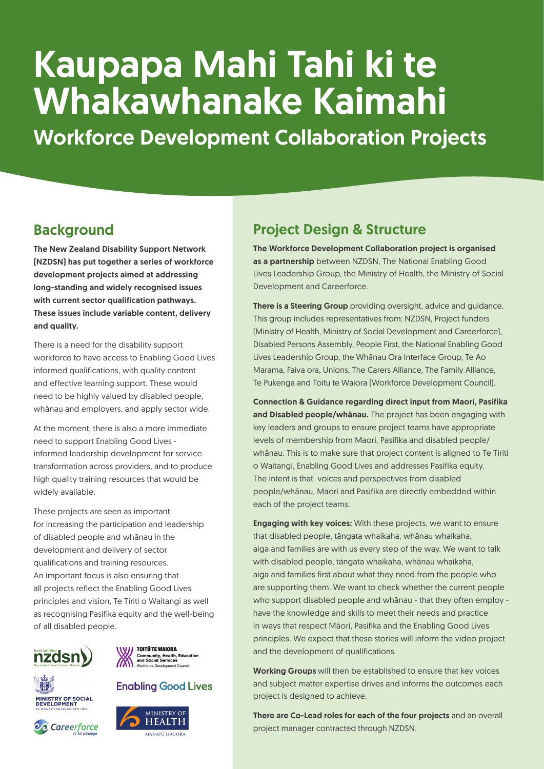# Kaupapa Mahi Tahi ki te Whakawhanake Kaimahi

Workforce Development Collaboration Projects

## **Background**

The New Zealand Disability Support Network (NZDSN) has put together a series of workforce development projects aimed at addressing long-standing and widely recognised issues with current sector qualification pathways. These issues include variable content, delivery and quality.

There is a need for the disability support workforce to have access to Enabling Good Lives informed qualifications, with quality content and effective learning support. These would need to be highly valued by disabled people, whānau and employers, and apply sector wide.

At the moment, there is also a more immediate need to support Enabling Good Lives informed leadership development for service transformation across providers, and to produce high quality training resources that would be widely available.

These projects are seen as important for increasing the participation and leadership of disabled people and whānau in the development and delivery of sector qualifications and training resources. An important focus is also ensuring that all projects reflect the Enabling Good Lives principles and vision, Te Tiriti o Waitangi as well as recognising Pasifika equity and the well-being of all disabled people.



**MINISTRY OF SOCIAL<br>DEVELOPMENT** 

**eo** Careerforce



## **Enabling Good Lives**



## Project Design & Structure

The Workforce Development Collaboration project is organised as a partnership between NZDSN, The National Enabling Good Lives Leadership Group, the Ministry of Health, the Ministry of Social Development and Careerforce.

There is a Steering Group providing oversight, advice and guidance. This group includes representatives from: NZDSN, Project funders (Ministry of Health, Ministry of Social Development and Careerforce), Disabled Persons Assembly, People First, the National Enabling Good Lives Leadership Group, the Whānau Ora Interface Group, Te Ao Marama, Faiva ora, Unions, The Carers Alliance, The Family Alliance, Te Pukenga and Toitu te Waiora (Workforce Development Council).

Connection & Guidance regarding direct input from Maori, Pasifika and Disabled people/whanau. The project has been engaging with key leaders and groups to ensure project teams have appropriate levels of membership from Maori, Pasifika and disabled people/ whānau. This is to make sure that project content is aligned to Te Tiriti o Waitangi, Enabling Good Lives and addresses Pasifika equity. The intent is that voices and perspectives from disabled people/whānau, Maori and Pasifika are directly embedded within each of the project teams.

**Engaging with key voices:** With these projects, we want to ensure that disabled people, tāngata whaikaha, whānau whaikaha, aiga and families are with us every step of the way. We want to talk with disabled people, tāngata whaikaha, whānau whaikaha, aiga and families first about what they need from the people who are supporting them. We want to check whether the current people who support disabled people and whānau - that they often employ have the knowledge and skills to meet their needs and practice in ways that respect Māori, Pasifika and the Enabling Good Lives principles. We expect that these stories will inform the video project and the development of qualifications.

Working Groups will then be established to ensure that key voices and subject matter expertise drives and informs the outcomes each project is designed to achieve.

There are Co-Lead roles for each of the four projects and an overall project manager contracted through NZDSN.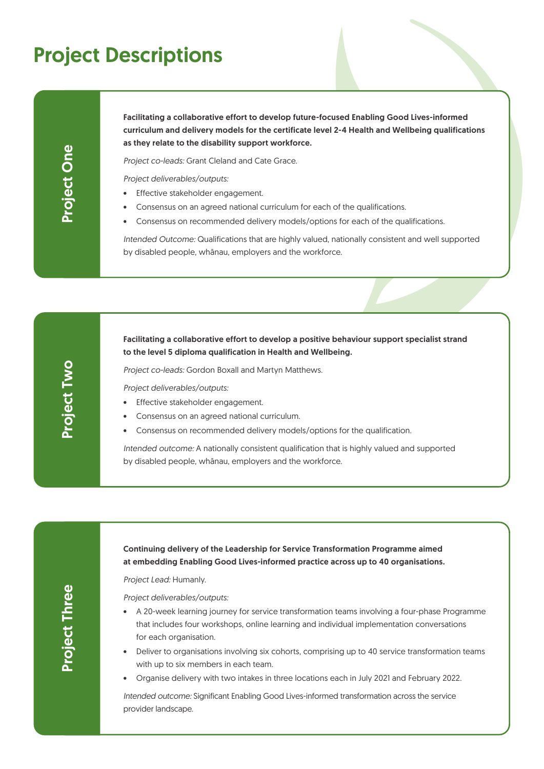## Project Descriptions

Project Two

**Project Two** 

Facilitating a collaborative effort to develop future-focused Enabling Good Lives-informed curriculum and delivery models for the certificate level 2-4 Health and Wellbeing qualifications as they relate to the disability support workforce.

*Project co-leads:* Grant Cleland and Cate Grace.

*Project deliverables/outputs:*

- Effective stakeholder engagement.
- Consensus on an agreed national curriculum for each of the qualifications.
- Consensus on recommended delivery models/options for each of the qualifications.

*Intended Outcome:* Qualifications that are highly valued, nationally consistent and well supported by disabled people, whānau, employers and the workforce.

### Facilitating a collaborative effort to develop a positive behaviour support specialist strand to the level 5 diploma qualification in Health and Wellbeing.

*Project co-leads:* Gordon Boxall and Martyn Matthews.

*Project deliverables/outputs:*

- Effective stakeholder engagement.
- Consensus on an agreed national curriculum.
- Consensus on recommended delivery models/options for the qualification.

*Intended outcome:* A nationally consistent qualification that is highly valued and supported by disabled people, whānau, employers and the workforce.

#### Continuing delivery of the Leadership for Service Transformation Programme aimed at embedding Enabling Good Lives-informed practice across up to 40 organisations.

*Project Lead:* Humanly.

*Project deliverables/outputs:*

- A 20-week learning journey for service transformation teams involving a four-phase Programme that includes four workshops, online learning and individual implementation conversations for each organisation.
- Deliver to organisations involving six cohorts, comprising up to 40 service transformation teams with up to six members in each team.
- Organise delivery with two intakes in three locations each in July 2021 and February 2022.

*Intended outcome:* Significant Enabling Good Lives-informed transformation across the service provider landscape.